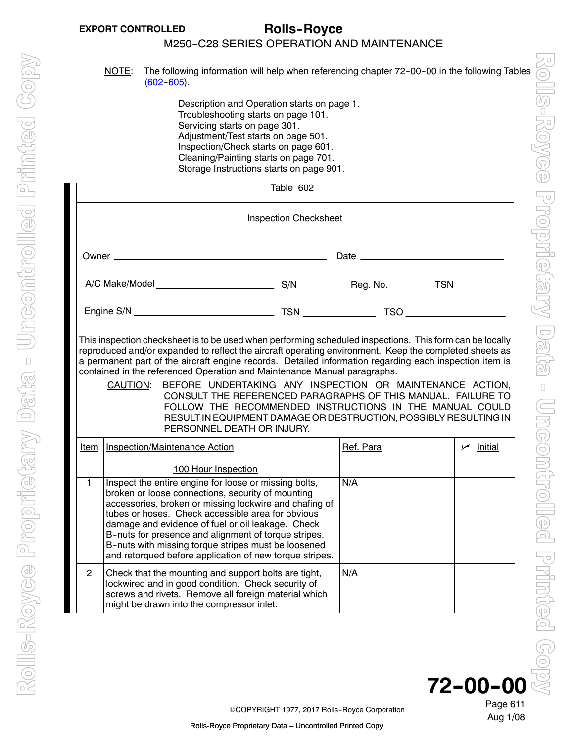# <span id="page-0-0"></span>**EXPORT CONTROLLED Rolls--Royce**

# M250-C28 SERIES OPERATION AND MAINTENANCE

NOTE: The following information will help when referencing chapter 72-00-00 in the following Tables  $(602 - 605)$ .

> Description and Operation starts on page 1. Troubleshooting starts on page 101. Servicing starts on page 301. Adjustment/Test starts on page 501. Inspection/Check starts on page 601. Cleaning/Painting starts on page 701. Storage Instructions starts on page 901.

| Table 602                                                                                                                                                                                                                                                                                                                                                                                                                                                                                                                                                                                                                                                                                                      |                                                                                                                                                                                                                                                                                                                                                                                                                                                          |  |           |            |         |  |  |
|----------------------------------------------------------------------------------------------------------------------------------------------------------------------------------------------------------------------------------------------------------------------------------------------------------------------------------------------------------------------------------------------------------------------------------------------------------------------------------------------------------------------------------------------------------------------------------------------------------------------------------------------------------------------------------------------------------------|----------------------------------------------------------------------------------------------------------------------------------------------------------------------------------------------------------------------------------------------------------------------------------------------------------------------------------------------------------------------------------------------------------------------------------------------------------|--|-----------|------------|---------|--|--|
|                                                                                                                                                                                                                                                                                                                                                                                                                                                                                                                                                                                                                                                                                                                | <b>Inspection Checksheet</b>                                                                                                                                                                                                                                                                                                                                                                                                                             |  |           |            |         |  |  |
|                                                                                                                                                                                                                                                                                                                                                                                                                                                                                                                                                                                                                                                                                                                |                                                                                                                                                                                                                                                                                                                                                                                                                                                          |  |           |            |         |  |  |
|                                                                                                                                                                                                                                                                                                                                                                                                                                                                                                                                                                                                                                                                                                                |                                                                                                                                                                                                                                                                                                                                                                                                                                                          |  |           |            |         |  |  |
|                                                                                                                                                                                                                                                                                                                                                                                                                                                                                                                                                                                                                                                                                                                |                                                                                                                                                                                                                                                                                                                                                                                                                                                          |  |           |            |         |  |  |
| This inspection checksheet is to be used when performing scheduled inspections. This form can be locally<br>reproduced and/or expanded to reflect the aircraft operating environment. Keep the completed sheets as<br>a permanent part of the aircraft engine records. Detailed information regarding each inspection item is<br>contained in the referenced Operation and Maintenance Manual paragraphs.<br>BEFORE UNDERTAKING ANY INSPECTION OR MAINTENANCE ACTION,<br>CAUTION:<br>CONSULT THE REFERENCED PARAGRAPHS OF THIS MANUAL. FAILURE TO<br>FOLLOW THE RECOMMENDED INSTRUCTIONS IN THE MANUAL COULD<br>RESULT IN EQUIPMENT DAMAGE OR DESTRUCTION, POSSIBLY RESULTING IN<br>PERSONNEL DEATH OR INJURY. |                                                                                                                                                                                                                                                                                                                                                                                                                                                          |  |           |            |         |  |  |
| Item                                                                                                                                                                                                                                                                                                                                                                                                                                                                                                                                                                                                                                                                                                           | <b>Inspection/Maintenance Action</b>                                                                                                                                                                                                                                                                                                                                                                                                                     |  | Ref. Para | $\sqrt{ }$ | Initial |  |  |
|                                                                                                                                                                                                                                                                                                                                                                                                                                                                                                                                                                                                                                                                                                                | 100 Hour Inspection                                                                                                                                                                                                                                                                                                                                                                                                                                      |  |           |            |         |  |  |
| 1.                                                                                                                                                                                                                                                                                                                                                                                                                                                                                                                                                                                                                                                                                                             | Inspect the entire engine for loose or missing bolts,<br>broken or loose connections, security of mounting<br>accessories, broken or missing lockwire and chafing of<br>tubes or hoses. Check accessible area for obvious<br>damage and evidence of fuel or oil leakage. Check<br>B-nuts for presence and alignment of torque stripes.<br>B-nuts with missing torque stripes must be loosened<br>and retorqued before application of new torque stripes. |  | N/A       |            |         |  |  |
| 2                                                                                                                                                                                                                                                                                                                                                                                                                                                                                                                                                                                                                                                                                                              | Check that the mounting and support bolts are tight,<br>lockwired and in good condition. Check security of<br>screws and rivets. Remove all foreign material which<br>might be drawn into the compressor inlet.                                                                                                                                                                                                                                          |  | N/A       |            |         |  |  |



Page 611

Aug 1/08

©COPYRIGHT 1977, 2017 Rolls-Royce Corporation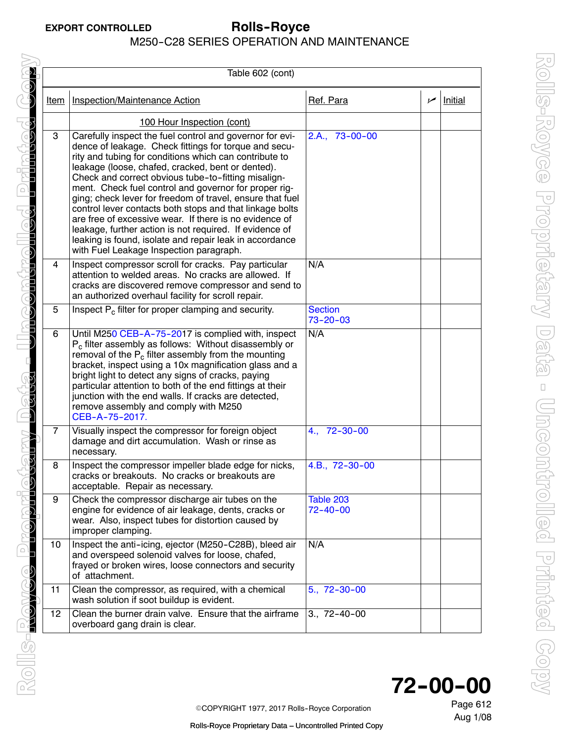| Table 602 (cont) |                                                                                                                                                                                                                                                                                                                                                                                                                                                                                                                                                                                                                                                                                                      |                                  |            |                |  |
|------------------|------------------------------------------------------------------------------------------------------------------------------------------------------------------------------------------------------------------------------------------------------------------------------------------------------------------------------------------------------------------------------------------------------------------------------------------------------------------------------------------------------------------------------------------------------------------------------------------------------------------------------------------------------------------------------------------------------|----------------------------------|------------|----------------|--|
| Item             | <b>Inspection/Maintenance Action</b>                                                                                                                                                                                                                                                                                                                                                                                                                                                                                                                                                                                                                                                                 | Ref. Para                        | $\sqrt{ }$ | <b>Initial</b> |  |
|                  | 100 Hour Inspection (cont)                                                                                                                                                                                                                                                                                                                                                                                                                                                                                                                                                                                                                                                                           |                                  |            |                |  |
| 3                | Carefully inspect the fuel control and governor for evi-<br>dence of leakage. Check fittings for torque and secu-<br>rity and tubing for conditions which can contribute to<br>leakage (loose, chafed, cracked, bent or dented).<br>Check and correct obvious tube-to-fitting misalign-<br>ment. Check fuel control and governor for proper rig-<br>ging; check lever for freedom of travel, ensure that fuel<br>control lever contacts both stops and that linkage bolts<br>are free of excessive wear. If there is no evidence of<br>leakage, further action is not required. If evidence of<br>leaking is found, isolate and repair leak in accordance<br>with Fuel Leakage Inspection paragraph. | 2.A., 73-00-00                   |            |                |  |
| 4                | Inspect compressor scroll for cracks. Pay particular<br>attention to welded areas. No cracks are allowed. If<br>cracks are discovered remove compressor and send to<br>an authorized overhaul facility for scroll repair.                                                                                                                                                                                                                                                                                                                                                                                                                                                                            | N/A                              |            |                |  |
| 5                | Inspect P <sub>c</sub> filter for proper clamping and security.                                                                                                                                                                                                                                                                                                                                                                                                                                                                                                                                                                                                                                      | <b>Section</b><br>$73 - 20 - 03$ |            |                |  |
| 6                | Until M250 CEB-A-75-2017 is complied with, inspect<br>$P_c$ filter assembly as follows: Without disassembly or<br>removal of the $P_c$ filter assembly from the mounting<br>bracket, inspect using a 10x magnification glass and a<br>bright light to detect any signs of cracks, paying<br>particular attention to both of the end fittings at their<br>junction with the end walls. If cracks are detected,<br>remove assembly and comply with M250<br>CEB-A-75-2017.                                                                                                                                                                                                                              | N/A                              |            |                |  |
| 7                | Visually inspect the compressor for foreign object<br>damage and dirt accumulation. Wash or rinse as<br>necessary.                                                                                                                                                                                                                                                                                                                                                                                                                                                                                                                                                                                   | $4., 72-30-00$                   |            |                |  |
| 8                | Inspect the compressor impeller blade edge for nicks,<br>cracks or breakouts. No cracks or breakouts are<br>acceptable. Repair as necessary.                                                                                                                                                                                                                                                                                                                                                                                                                                                                                                                                                         | 4.B., 72-30-00                   |            |                |  |
| 9                | Check the compressor discharge air tubes on the<br>engine for evidence of air leakage, dents, cracks or<br>wear. Also, inspect tubes for distortion caused by<br>improper clamping.                                                                                                                                                                                                                                                                                                                                                                                                                                                                                                                  | Table 203<br>$72 - 40 - 00$      |            |                |  |
| 10               | Inspect the anti-icing, ejector (M250-C28B), bleed air<br>and overspeed solenoid valves for loose, chafed,<br>frayed or broken wires, loose connectors and security<br>of attachment.                                                                                                                                                                                                                                                                                                                                                                                                                                                                                                                | N/A                              |            |                |  |
| 11               | Clean the compressor, as required, with a chemical<br>wash solution if soot buildup is evident.                                                                                                                                                                                                                                                                                                                                                                                                                                                                                                                                                                                                      | $5., 72-30-00$                   |            |                |  |
| 12               | Clean the burner drain valve. Ensure that the airframe<br>overboard gang drain is clear.                                                                                                                                                                                                                                                                                                                                                                                                                                                                                                                                                                                                             | $3., 72-40-00$                   |            |                |  |



Page 612

Aug 1/08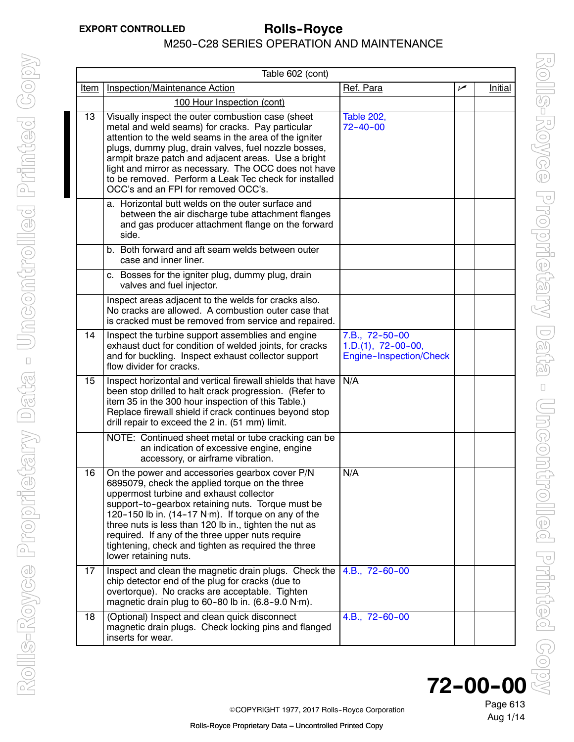<span id="page-2-0"></span>

|      | Table 602 (cont)                                                                                                                                                                                                                                                                                                                                                                                                                                      |                                                                   |     |         |  |  |
|------|-------------------------------------------------------------------------------------------------------------------------------------------------------------------------------------------------------------------------------------------------------------------------------------------------------------------------------------------------------------------------------------------------------------------------------------------------------|-------------------------------------------------------------------|-----|---------|--|--|
| Item | Inspection/Maintenance Action                                                                                                                                                                                                                                                                                                                                                                                                                         | Ref. Para                                                         | سما | Initial |  |  |
|      | 100 Hour Inspection (cont)                                                                                                                                                                                                                                                                                                                                                                                                                            |                                                                   |     |         |  |  |
| 13   | Visually inspect the outer combustion case (sheet<br>metal and weld seams) for cracks. Pay particular<br>attention to the weld seams in the area of the igniter<br>plugs, dummy plug, drain valves, fuel nozzle bosses,<br>armpit braze patch and adjacent areas. Use a bright<br>light and mirror as necessary. The OCC does not have<br>to be removed. Perform a Leak Tec check for installed<br>OCC's and an FPI for removed OCC's.                | <b>Table 202,</b><br>$72 - 40 - 00$                               |     |         |  |  |
|      | a. Horizontal butt welds on the outer surface and<br>between the air discharge tube attachment flanges<br>and gas producer attachment flange on the forward<br>side.                                                                                                                                                                                                                                                                                  |                                                                   |     |         |  |  |
|      | b. Both forward and aft seam welds between outer<br>case and inner liner.                                                                                                                                                                                                                                                                                                                                                                             |                                                                   |     |         |  |  |
|      | c. Bosses for the igniter plug, dummy plug, drain<br>valves and fuel injector.                                                                                                                                                                                                                                                                                                                                                                        |                                                                   |     |         |  |  |
|      | Inspect areas adjacent to the welds for cracks also.<br>No cracks are allowed. A combustion outer case that<br>is cracked must be removed from service and repaired.                                                                                                                                                                                                                                                                                  |                                                                   |     |         |  |  |
| 14   | Inspect the turbine support assemblies and engine<br>exhaust duct for condition of welded joints, for cracks<br>and for buckling. Inspect exhaust collector support<br>flow divider for cracks.                                                                                                                                                                                                                                                       | 7.B., 72-50-00<br>$1.D.(1), 72-00-00,$<br>Engine-Inspection/Check |     |         |  |  |
| 15   | Inspect horizontal and vertical firewall shields that have<br>been stop drilled to halt crack progression. (Refer to<br>item 35 in the 300 hour inspection of this Table.)<br>Replace firewall shield if crack continues beyond stop<br>drill repair to exceed the 2 in. (51 mm) limit.                                                                                                                                                               | N/A                                                               |     |         |  |  |
|      | NOTE: Continued sheet metal or tube cracking can be<br>an indication of excessive engine, engine<br>accessory, or airframe vibration.                                                                                                                                                                                                                                                                                                                 |                                                                   |     |         |  |  |
| 16   | On the power and accessories gearbox cover P/N<br>6895079, check the applied torque on the three<br>uppermost turbine and exhaust collector<br>support-to-gearbox retaining nuts. Torque must be<br>120-150 lb in. (14-17 N·m). If torque on any of the<br>three nuts is less than 120 lb in., tighten the nut as<br>required. If any of the three upper nuts require<br>tightening, check and tighten as required the three<br>lower retaining nuts. | N/A                                                               |     |         |  |  |
| 17   | Inspect and clean the magnetic drain plugs. Check the<br>chip detector end of the plug for cracks (due to<br>overtorque). No cracks are acceptable. Tighten<br>magnetic drain plug to 60-80 lb in. $(6.8-9.0 \text{ N} \cdot \text{m})$ .                                                                                                                                                                                                             | 4.B., 72-60-00                                                    |     |         |  |  |
| 18   | (Optional) Inspect and clean quick disconnect<br>magnetic drain plugs. Check locking pins and flanged<br>inserts for wear.                                                                                                                                                                                                                                                                                                                            | 4.B., 72-60-00                                                    |     |         |  |  |



©COPYRIGHT 1977, 2017 Rolls-Royce Corporation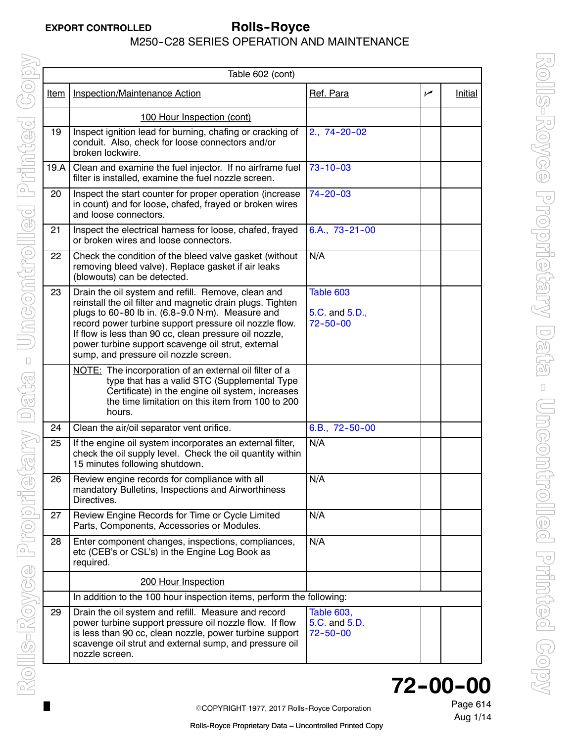| Table 602 (cont) |                                                                                                                                                                                                                                                                                                                                                                                         |                                                      |     |                |
|------------------|-----------------------------------------------------------------------------------------------------------------------------------------------------------------------------------------------------------------------------------------------------------------------------------------------------------------------------------------------------------------------------------------|------------------------------------------------------|-----|----------------|
| <u>Item</u>      | <b>Inspection/Maintenance Action</b>                                                                                                                                                                                                                                                                                                                                                    | Ref. Para                                            | سما | <b>Initial</b> |
|                  | 100 Hour Inspection (cont)                                                                                                                                                                                                                                                                                                                                                              |                                                      |     |                |
| 19               | Inspect ignition lead for burning, chafing or cracking of<br>conduit. Also, check for loose connectors and/or<br>broken lockwire.                                                                                                                                                                                                                                                       | $2., 74-20-02$                                       |     |                |
| 19.A             | Clean and examine the fuel injector. If no airframe fuel<br>filter is installed, examine the fuel nozzle screen.                                                                                                                                                                                                                                                                        | $73 - 10 - 03$                                       |     |                |
| 20               | Inspect the start counter for proper operation (increase<br>in count) and for loose, chafed, frayed or broken wires<br>and loose connectors.                                                                                                                                                                                                                                            | $74 - 20 - 03$                                       |     |                |
| 21               | Inspect the electrical harness for loose, chafed, frayed<br>or broken wires and loose connectors.                                                                                                                                                                                                                                                                                       | $6.A., 73-21-00$                                     |     |                |
| 22               | Check the condition of the bleed valve gasket (without<br>removing bleed valve). Replace gasket if air leaks<br>(blowouts) can be detected.                                                                                                                                                                                                                                             | N/A                                                  |     |                |
| 23               | Drain the oil system and refill. Remove, clean and<br>reinstall the oil filter and magnetic drain plugs. Tighten<br>plugs to 60-80 lb in. (6.8-9.0 N·m). Measure and<br>record power turbine support pressure oil nozzle flow.<br>If flow is less than 90 cc, clean pressure oil nozzle,<br>power turbine support scavenge oil strut, external<br>sump, and pressure oil nozzle screen. | Table 603<br>5.C. and 5.D.,<br>$72 - 50 - 00$        |     |                |
|                  | NOTE: The incorporation of an external oil filter of a<br>type that has a valid STC (Supplemental Type<br>Certificate) in the engine oil system, increases<br>the time limitation on this item from 100 to 200<br>hours.                                                                                                                                                                |                                                      |     |                |
| 24               | Clean the air/oil separator vent orifice.                                                                                                                                                                                                                                                                                                                                               | 6.B., 72-50-00                                       |     |                |
| 25               | If the engine oil system incorporates an external filter,<br>check the oil supply level. Check the oil quantity within<br>15 minutes following shutdown.                                                                                                                                                                                                                                | N/A                                                  |     |                |
| 26               | Review engine records for compliance with all<br>mandatory Bulletins, Inspections and Airworthiness<br>Directives.                                                                                                                                                                                                                                                                      | N/A                                                  |     |                |
| 27               | Review Engine Records for Time or Cycle Limited<br>Parts, Components, Accessories or Modules.                                                                                                                                                                                                                                                                                           | N/A                                                  |     |                |
| 28               | Enter component changes, inspections, compliances,<br>etc (CEB's or CSL's) in the Engine Log Book as<br>required.                                                                                                                                                                                                                                                                       | N/A                                                  |     |                |
|                  | 200 Hour Inspection                                                                                                                                                                                                                                                                                                                                                                     |                                                      |     |                |
|                  | In addition to the 100 hour inspection items, perform the following:                                                                                                                                                                                                                                                                                                                    |                                                      |     |                |
| 29               | Drain the oil system and refill. Measure and record<br>power turbine support pressure oil nozzle flow. If flow<br>is less than 90 cc, clean nozzle, power turbine support<br>scavenge oil strut and external sump, and pressure oil<br>nozzle screen.                                                                                                                                   | <b>Table 603,</b><br>5.C. and 5.D.<br>$72 - 50 - 00$ |     |                |

# **72--00--00**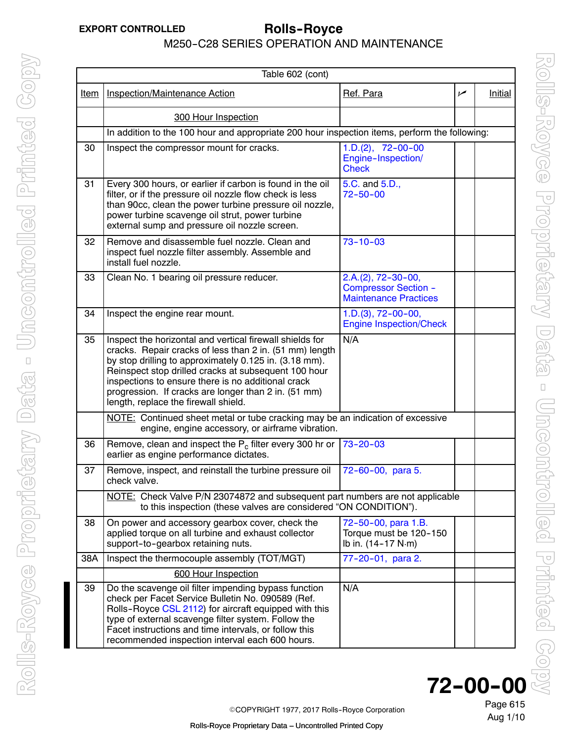| Table 602 (cont) |                                                                                                                                                                                                                                                                                                                                                                                             |                                                                                     |     |                |
|------------------|---------------------------------------------------------------------------------------------------------------------------------------------------------------------------------------------------------------------------------------------------------------------------------------------------------------------------------------------------------------------------------------------|-------------------------------------------------------------------------------------|-----|----------------|
| <u>Item</u>      | Inspection/Maintenance Action                                                                                                                                                                                                                                                                                                                                                               | Ref. Para                                                                           | سما | <b>Initial</b> |
|                  | 300 Hour Inspection                                                                                                                                                                                                                                                                                                                                                                         |                                                                                     |     |                |
|                  | In addition to the 100 hour and appropriate 200 hour inspection items, perform the following:                                                                                                                                                                                                                                                                                               |                                                                                     |     |                |
| 30               | Inspect the compressor mount for cracks.                                                                                                                                                                                                                                                                                                                                                    | $1.D.(2), 72-00-00$<br>Engine-Inspection/<br><b>Check</b>                           |     |                |
| 31               | Every 300 hours, or earlier if carbon is found in the oil<br>filter, or if the pressure oil nozzle flow check is less<br>than 90cc, clean the power turbine pressure oil nozzle,<br>power turbine scavenge oil strut, power turbine<br>external sump and pressure oil nozzle screen.                                                                                                        | 5.C. and 5.D.,<br>$72 - 50 - 00$                                                    |     |                |
| 32               | Remove and disassemble fuel nozzle. Clean and<br>inspect fuel nozzle filter assembly. Assemble and<br>install fuel nozzle.                                                                                                                                                                                                                                                                  | $73 - 10 - 03$                                                                      |     |                |
| 33               | Clean No. 1 bearing oil pressure reducer.                                                                                                                                                                                                                                                                                                                                                   | $2.A.(2), 72-30-00,$<br><b>Compressor Section -</b><br><b>Maintenance Practices</b> |     |                |
| 34               | Inspect the engine rear mount.                                                                                                                                                                                                                                                                                                                                                              | $1.D.(3), 72-00-00,$<br><b>Engine Inspection/Check</b>                              |     |                |
| 35               | Inspect the horizontal and vertical firewall shields for<br>cracks. Repair cracks of less than 2 in. (51 mm) length<br>by stop drilling to approximately 0.125 in. (3.18 mm).<br>Reinspect stop drilled cracks at subsequent 100 hour<br>inspections to ensure there is no additional crack<br>progression. If cracks are longer than 2 in. (51 mm)<br>length, replace the firewall shield. | N/A                                                                                 |     |                |
|                  | NOTE: Continued sheet metal or tube cracking may be an indication of excessive<br>engine, engine accessory, or airframe vibration.                                                                                                                                                                                                                                                          |                                                                                     |     |                |
| 36               | Remove, clean and inspect the $P_c$ filter every 300 hr or<br>earlier as engine performance dictates.                                                                                                                                                                                                                                                                                       | $73 - 20 - 03$                                                                      |     |                |
| 37               | Remove, inspect, and reinstall the turbine pressure oil<br>check valve.                                                                                                                                                                                                                                                                                                                     | 72-60-00, para 5.                                                                   |     |                |
|                  | NOTE: Check Valve P/N 23074872 and subsequent part numbers are not applicable<br>to this inspection (these valves are considered "ON CONDITION").                                                                                                                                                                                                                                           |                                                                                     |     |                |
| 38               | On power and accessory gearbox cover, check the<br>applied torque on all turbine and exhaust collector<br>support-to-gearbox retaining nuts.                                                                                                                                                                                                                                                | 72-50-00, para 1.B.<br>Torque must be 120-150<br>lb in. (14-17 N·m)                 |     |                |
| 38A              | Inspect the thermocouple assembly (TOT/MGT)                                                                                                                                                                                                                                                                                                                                                 | 77-20-01, para 2.                                                                   |     |                |
|                  | 600 Hour Inspection                                                                                                                                                                                                                                                                                                                                                                         |                                                                                     |     |                |
| 39               | Do the scavenge oil filter impending bypass function<br>check per Facet Service Bulletin No. 090589 (Ref.<br>Rolls-Royce CSL 2112) for aircraft equipped with this<br>type of external scavenge filter system. Follow the<br>Facet instructions and time intervals, or follow this<br>recommended inspection interval each 600 hours.                                                       | N/A                                                                                 |     |                |

**72--00--00**

Page 615 Aug 1/10